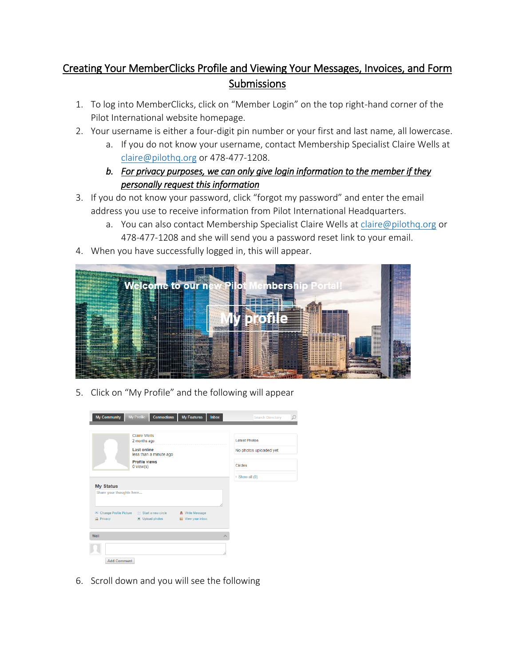## Creating Your MemberClicks Profile and Viewing Your Messages, Invoices, and Form Submissions

- 1. To log into MemberClicks, click on "Member Login" on the top right-hand corner of the Pilot International website homepage.
- 2. Your username is either a four-digit pin number or your first and last name, all lowercase.
	- a. If you do not know your username, contact Membership Specialist Claire Wells at [claire@pilothq.org](mailto:claire@pilothq.org) or 478-477-1208.
	- *b. For privacy purposes, we can only give login information to the member if they personally request this information*
- 3. If you do not know your password, click "forgot my password" and enter the email address you use to receive information from Pilot International Headquarters.
	- a. You can also contact Membership Specialist Claire Wells at [claire@pilothq.org](mailto:claire@pilothq.org) or 478-477-1208 and she will send you a password reset link to your email.
- 4. When you have successfully logged in, this will appear.



5. Click on "My Profile" and the following will appear

| <b>My Community</b>                          | <b>Connections</b><br>My Profile                                                    | <b>My Features</b>                             | <b>Inbox</b> | <b>Search Directory</b>                         | Q |
|----------------------------------------------|-------------------------------------------------------------------------------------|------------------------------------------------|--------------|-------------------------------------------------|---|
|                                              | <b>Claire Wells</b><br>2 months ago<br><b>Last online</b><br>less than a minute ago |                                                |              | <b>Latest Photos</b><br>No photos uploaded yet. |   |
|                                              | <b>Profile views</b><br>$0$ view $(s)$                                              |                                                |              | <b>Circles</b><br>Show all (0)                  |   |
| <b>My Status</b><br>Share your thoughts here |                                                                                     |                                                |              |                                                 |   |
| <b>Ca</b> Privacy                            | Cil Change Profile Picture (1) Start a new circle<br>Upload photos                  | A Write Message<br><b>Bill</b> View your inbox |              |                                                 |   |
| Wall                                         |                                                                                     |                                                |              |                                                 |   |
| <b>Add Comment</b>                           |                                                                                     |                                                |              |                                                 |   |

6. Scroll down and you will see the following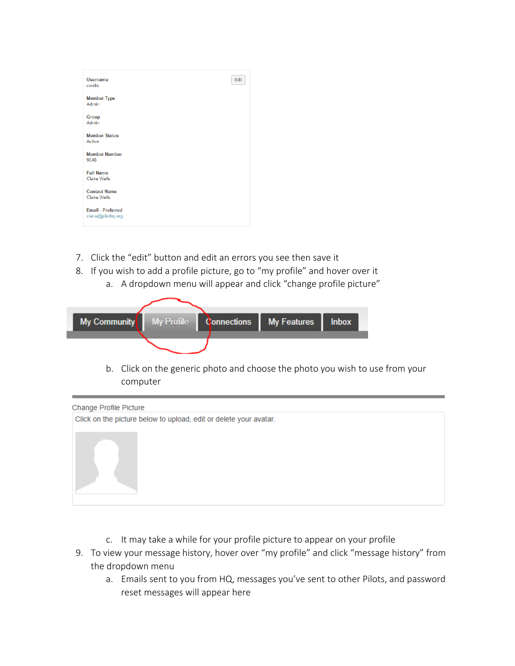| <b>Username</b><br>cwells                      | Edit |
|------------------------------------------------|------|
| <b>Member Type</b><br>Admin                    |      |
| <b>Group</b><br>Admin                          |      |
| <b>Member Status</b><br>Active                 |      |
| <b>Member Number</b><br>9048                   |      |
| <b>Full Name</b><br><b>Claire Wells</b>        |      |
| <b>Contact Name</b><br><b>Claire Wells</b>     |      |
| <b>Email - Preferred</b><br>claire@pilothq.org |      |

- 7. Click the "edit" button and edit an errors you see then save it
- 8. If you wish to add a profile picture, go to "my profile" and hover over it
	- a. A dropdown menu will appear and click "change profile picture"



b. Click on the generic photo and choose the photo you wish to use from your computer



- c. It may take a while for your profile picture to appear on your profile
- 9. To view your message history, hover over "my profile" and click "message history" from the dropdown menu
	- a. Emails sent to you from HQ, messages you've sent to other Pilots, and password reset messages will appear here